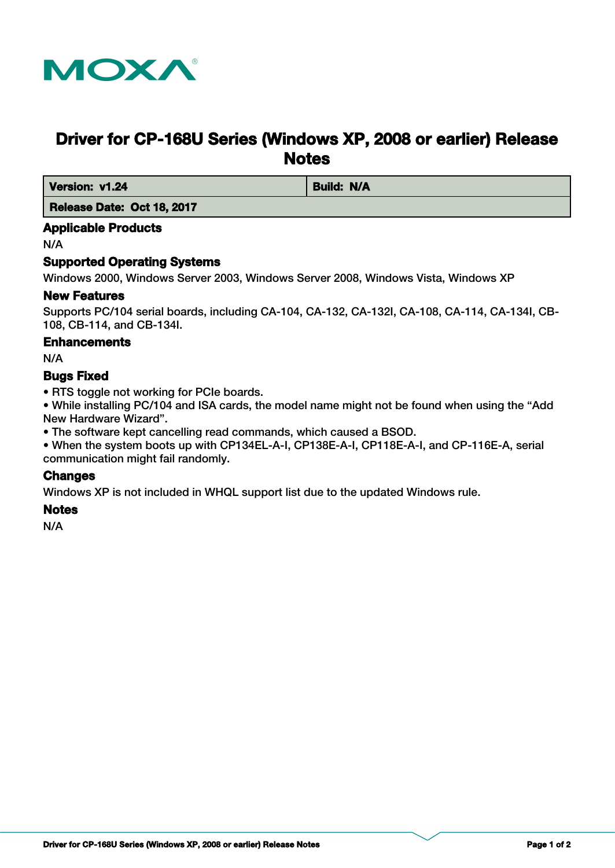

# **Driver for CP-168U Series (Windows XP, 2008 or earlier) Release Notes**

*Version: v1.24* **Build: N/A** 

 **Release Date: Oct 18, 2017**

# **Applicable Products**

N/A

# **Supported Operating Systems**

Windows 2000, Windows Server 2003, Windows Server 2008, Windows Vista, Windows XP

#### **New Features**

Supports PC/104 serial boards, including CA-104, CA-132, CA-132I, CA-108, CA-114, CA-134I, CB-108, CB-114, and CB-134I.

#### **Enhancements**

N/A

# **Bugs Fixed**

• RTS toggle not working for PCIe boards.

• While installing PC/104 and ISA cards, the model name might not be found when using the "Add New Hardware Wizard".

• The software kept cancelling read commands, which caused a BSOD.

• When the system boots up with CP134EL-A-I, CP138E-A-I, CP118E-A-I, and CP-116E-A, serial communication might fail randomly.

#### **Changes**

Windows XP is not included in WHQL support list due to the updated Windows rule.

#### **Notes**

N/A